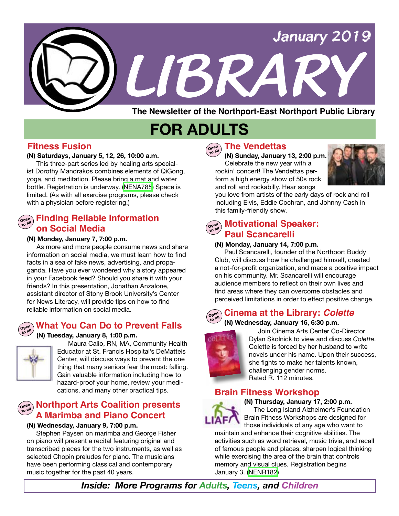

**FOR ADULTS**

## **Fitness Fusion**

#### **(N) Saturdays, January 5, 12, 26, 10:00 a.m.**

This three-part series led by healing arts specialist Dorothy Mandrakos combines elements of QiGong, yoga, and meditation. Please bring a mat and water bottle. Registration is underway. ([NENA785\)](https://search.livebrary.com/record%3Dg1086943~S85) Space is limited. (As with all exercise programs, please check with a physician before registering.)

## **Einding Reliable Information Constitution on Social Media**

#### **(N) Monday, January 7, 7:00 p.m.**

 As more and more people consume news and share information on social media, we must learn how to find facts in a sea of fake news, advertising, and propaganda. Have you ever wondered why a story appeared in your Facebook feed? Should you share it with your friends? In this presentation, Jonathan Anzalone, assistant director of Stony Brook University's Center for News Literacy, will provide tips on how to find reliable information on social media.



## **What You Can Do to Prevent Falls (N) Tuesday, January 8, 1:00 p.m.**





Maura Calio, RN, MA, Community Health Educator at St. Francis Hospital's DeMatteis Center, will discuss ways to prevent the one thing that many seniors fear the most: falling. Gain valuable information including how to hazard-proof your home, review your medications, and many other practical tips.

## **open Northport Arts Coalition presents A Marimba and Piano Concert**

#### **(N) Wednesday, January 9, 7:00 p.m.**

 Stephen Paysen on marimba and George Fisher on piano will present a recital featuring original and transcribed pieces for the two instruments, as well as selected Chopin preludes for piano. The musicians have been performing classical and contemporary music together for the past 40 years.



## **The Vendettas**

 **(N) Sunday, January 13, 2:00 p.m.** Celebrate the new year with a rockin' concert! The Vendettas perform a high energy show of 50s rock and roll and rockabilly. Hear songs

you love from artists of the early days of rock and roll including Elvis, Eddie Cochran, and Johnny Cash in this family-friendly show.

#### **open**<br>to all **Motivational Speaker: Paul Scancarelli**

#### **(N) Monday, January 14, 7:00 p.m.**

Paul Scancarelli, founder of the Northport Buddy Club, will discuss how he challenged himself, created a not-for-profit organization, and made a positive impact on his community. Mr. Scancarelli will encourage audience members to reflect on their own lives and find areas where they can overcome obstacles and perceived limitations in order to effect positive change.

#### **Open to all Cinema at the Library:** *Colette*

#### **(N) Wednesday, January 16, 6:30 p.m.**



Join Cinema Arts Center Co-Director Dylan Skolnick to view and discuss *Colette*. Colette is forced by her husband to write novels under his name. Upon their success, she fights to make her talents known, challenging gender norms. Rated R. 112 minutes.

## **Brain Fitness Workshop**



 **(N) Thursday, January 17, 2:00 p.m.** The Long Island Alzheimer's Foundation Brain Fitness Workshops are designed for

those individuals of any age who want to maintain and enhance their cognitive abilities. The activities such as word retrieval, music trivia, and recall of famous people and places, sharpen logical thinking while exercising the area of the brain that controls memory and visual clues. Registration begins January 3. [\(NENR182\)](https://search.livebrary.com/record%3Dg1087969~S85)

*Inside: More Programs for Adults, Teens, and Children*

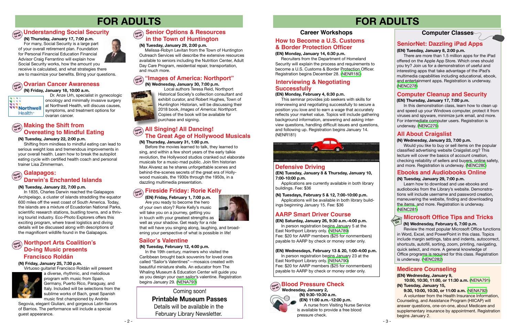

# **FOR ADULTS**

## **Open** Understanding Social Security

## **Computer Classes**

# **FOR ADULTS**

**Hands On**

### **Computer Cleanup and Security**

#### **(EN) Thursday, January 17, 7:00 p.m.**

 In this demonstration class, learn how to clean up and speed up your Windows computer, protect it from viruses and spyware, minimize junk email, and more. For intermediate computer users. Registration is underway. [\(NENC279\)](https://search.livebrary.com/record%3Dg1087103~S85)

#### **Ebooks and Audiobooks Online**

#### **(N) Tuesday, January 29, 7:00 p.m.**

Learn how to download and use ebooks and audiobooks from the Library's website. Demonstrations will include username and password creation, maneuvering the website, finding and downloading the items, and more. Registration is underway. [\(NENC281\)](https://search.livebrary.com/record%3Dg1087108~S85)

## **SeniorNet: Dazzling iPad Apps**

#### **(EN) Tuesday, January 8, 2:00 p.m.**

#### **Open Blood Pressure Check**

There are more than 1.5 million apps for the iPad offered on the Apple App Store. Which ones should you try? Join us for a demonstration of useful and interesting apps that take advantage of the iPad's multimedia capabilities including educational, ebook, and entertainment apps. Registration is underway. ([NENC278](https://search.livebrary.com/record%3Dg1076585~S85))

### **Defensive Driving**

## **AARP Smart Driver Course**

**(EN) Tuesday, January 8 & Thursday, January 10, 7:00-10:00 p.m.** 

Applications are currently available in both library buildings. Fee: \$36

#### **(EN) Saturday, January 26, 9:30 a.m.-4:00 p.m.**

In person registration begins January 5 at the East Northport Library only. [\(NENA789\)](https://search.livebrary.com/record%3Dg1087769~S85) Fee: \$20 for AARP members (\$25 for nonmembers) payable to AARP by check or money order only.

 **Wednesday, January 2, (N) 9:30-10:30 a.m. (EN) 11:00 a.m.-12:00 p.m.**  A nurse from Visiting Nurse Service is available to provide a free blood pressure check.



#### **(N) Tuesday, January 22, 7:00 p.m.**

## **Copen Making the Shift from Overeating to Mindful Eating**

 In 1835, Charles Darwin reached the Galapagos Archipelago, a cluster of islands straddling the equator 600 miles off the west coast of South America. Today, the islands are a mixture of Ecuadorian National Parks, scientific research stations, bustling towns, and a thriving tourist industry. Eco-Photo Explorers offers this exciting program, where travel logistics and diving details will be discussed along with descriptions of the magnificent wildlife found in the Galapagos.

#### **Open to all Galapagos: Darwin's Enchanted Islands**

 Local authors Teresa Reid, Northport Historical Society's collection consultant and exhibit curator, and Robert Hughes, Town of Huntington Historian, will be discussing their 2018 book, *Images of America: Northport.*  Copies of the book will be available for purchase and signing.

**(N) Tuesdays, February 5 & 12, 7:00-10:00 p.m.**

Applications will be available in both library buildings beginning January 15. Fee: \$36

## **All About Craigslist**

#### **(N) Wednesday, January 23, 7:00 p.m.**

 Would you like to buy or sell items on the popular classified advertising website Craigslist.org? This lecture will cover the basics of account creation, checking reliability of sellers and buyers, online safety, and more. Registration is underway. [\(NENC280\)](https://search.livebrary.com/record%3Dg1087104~S85)

#### **"Images of America: Northport" Open to all**

## **Career Workshops**

### **Open to all Ovarian Cancer Awareness (N) Friday, January 18, 10:00 a.m.**



Dr. Anze Urh, specialist in gynecologic oncology and minimally invasive surgery at Northwell Health, will discuss causes, symptoms, and treatment options for ovarian cancer.

#### **(N) Tuesday, January 22, 2:00 p.m.**

Shifting from mindless to mindful eating can lead to serious weight loss and tremendous improvements in your overall health. Learn how to break the autopilot eating cycle with certified health coach and personal trainer Lisa Zimmerman.

> **(EN) Friday, February 1, 7:00 p.m.** Are you ready to become the hero of your own story? Rorie Kelly's music will take you on a journey, getting you in touch with your greatest strengths as well as your shadow. Get ready for a ride



## $\begin{bmatrix} \mathbf{Cov}_{\mathbf{Cov}}^{\mathbf{Cov}} \end{bmatrix}$  Northport Arts Coalition's **Do-ing Music presents Francisco Roldán**

#### **Fireside Friday: Rorie Kelly Open to all**

that will have you singing along, laughing, and broadening your perspective of what is possible in life!

#### **(EN) Wednesdays, February 13 & 20, 1:00-4:00 p.m.**

In person registration begins January 23 at the East Northport Library only. [\(NENA790\)](https://search.livebrary.com/record%3Dg1087770~S85) Fee: \$20 for AARP members (\$25 for nonmembers) payable to AARP by check or money order only.

#### **(EN) Monday, January 14, 6:30 p.m.**

Recruiters from the Department of Homeland Security will explain the process and requirements to become a U.S. Customs & Border Protection Officer. Registration begins December 28. ([NENR180\)](https://search.livebrary.com/record%3Dg1087963~S85)

### **How to Become a U.S. Customs & Border Protection Officer**

#### **(EN) Monday, February 4, 6:30 p.m.**

This seminar provides job seekers with skills for interviewing and negotiating successfully to secure a position you love and to earn a wage that accurately reflects your market value. Topics will include gathering background information, answering and asking interview questions, handling difficult issues and questions, and following up. Registration begins January 14. (NENR181)



## **Interviewing & Negotiating Successfully**

#### **(EN) Wednesday, January 9,**

 **10:00, 10:30, 11:00, or 11:30 a.m.** [\(NENA791](https://search.livebrary.com/record%3Dg1087781~S85)) **(N) Tuesday, January 15,**

#### **9:30, 10:00, 10:30, or 11:00 a.m.** [\(NENA792](https://search.livebrary.com/record%3Dg1087785~S85))

A volunteer from the Health Insurance Information, Counseling, and Assistance Program (HIICAP) will answer questions, one-on-one, about Medicare and supplementary insurance by appointment. Registration begins January 2.

### **Medicare Counseling**

#### **(N) Thursday, January 31, 1:00 p.m.**

Before the movies learned to talk, they learned to sing, and within a few short years of the early talkie revolution, the Hollywood studios cranked out elaborate musicals for a music-mad public. Join film historian Max Alvarez as he shares unforgettable scenes and behind-the-scenes secrets of the great era of Hollywood musicals, the 1930s through the 1950s, in a dazzling multimedia presentation.

## **Open to all All Singing! All Dancing! The Great Age of Hollywood Musicals**

## **Microsoft Office Tips and Tricks**

#### **(N) Wednesday, February 6, 7:00 p.m.**

 Review the most popular Microsoft Office functions in Word, Excel, and PowerPoint in this class. Topics include margin settings, tabs and indents, autocorrect, shortcuts, autofill, sorting, zoom, printing, navigating, quick select, and more. A general knowledge of Office programs is required for this class. Registration is underway. [\(NENC282\)](https://search.livebrary.com/record%3Dg1087109~S85)

**(N) Wednesday, January 30, 7:00 p.m.**



#### **(N) Tuesday, January 29, 2:00 p.m.**

 Melissa-Robyn Levitan from the Town of Huntington Outreach Services will describe the extensive resources available to seniors including the Nutrition Center, Adult Day Care Program, residential repair, transportation, and much more.



 **(N) Thursday, January 17, 7:00 p.m.** For many, Social Security is a large part of your overall retirement plan. Foundation for Personal Financial Education Financial Advisor Craig Ferrantino will explain how Social Security works, how the amount you receive is calculated, and what strategies there are to maximize your benefits. Bring your questions.

#### **(N) Friday, January 25, 7:30 p.m.**

Virtuoso guitarist Francisco Roldán will present



a diverse, rhythmic, and melodious program with music from Spain, Germany, Puerto Rico, Paraguay, and Italy. Included will be selections from the sublime works of Bach, great Spanish music first championed by Andrés

Segovia, elegant Giuliani, and gorgeous Latin flavors of Barrios. The performance will include a special guest appearance.

### **Sailor's Valentine**

#### **(N) Tuesday, February 12, 4:00 p.m.**

 In the 19th century, mariners who visited the Caribbean brought back souvenirs for loved ones called "Sailor's Valentines"—mosaics created with beautiful miniature shells. An educator from The Whaling Museum & Education Center will guide you as you design your own sailor's valentine. Registration begins January 29. [\(NENA793\)](https://search.livebrary.com/record%3Dg1087767~S85)

Coming soon!

Details will be available in the February Library Newsletter.

## **Printable Museum Passes**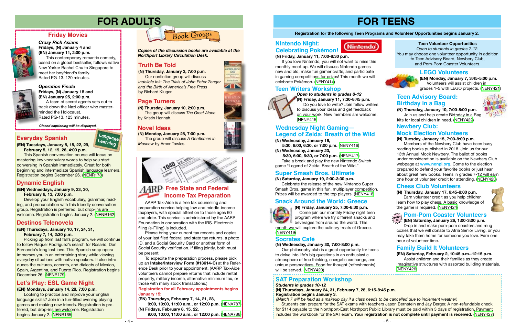# **FOR TEENS**

#### **Registration for the following Teen Programs and Volunteer Opportunities begins January 2.**

**(N) Friday, January 25, 7:00-8:30 p.m.**

 Come join our monthly Friday night teen program where we try different snacks and beverages from around the world. This month we will explore the culinary treats of Greece.

[\(NENY419\)](https://search.livebrary.com/record%3Dg1087141~S85)

## **Snack Around the World: Greece**





╱┱

#### *Operation Finale* **Fridays, (N) January 18 and (EN) January 25, 2:00 p.m.**

A team of secret agents sets out to track down the Nazi officer who masterminded the Holocaust. Rated PG-13. 123 minutes.

## **Friday Movies**



*Crazy Rich Asians* **Fridays, (N) January 4 and (EN) January 11, 2:00 p.m.** 

This contemporary romantic comedy, based on a global bestseller, follows native New Yorker Rachel Chu to Singapore to meet her boyfriend's family. Rated PG-13. 120 minutes.



*Closed captioning will be displayed.*

# **Everyday Spanish Canguage**

# **FOR ADULTS**

**(N) Thursday, January 3, 7:00 p.m.** Our nonfiction group will discuss *Indelible Ink: The Trials of John Peter Zenger* 

*and the Birth of America's Free Press* by Richard Kluger.



**Truth Be Told** *Northport Library Circulation Desk. Copies of the discussion books are available at the* 

**(N) Monday, January 28, 7:00 p.m.** The group will discuss *A Gentleman in* 

*Moscow* by Amor Towles.



## **AARP** Free State and Federal **Income Tax Preparation**

**(N) Thursday, January 10, 2:00 p.m.** The group will discuss *The Great Alone* by Kristin Hannah.

## **Truth Be Told**

## **Novel Ideas**

## **Page Turners**

**(N) Thursday, January 10, 7:00-8:00 p.m.**

 Join us and help create Birthday in a Bag kits for local children in need. ([NENY422\)](https://search.livebrary.com/record%3Dg1087166~S85)

**(N) Thursday, January 17, 6:45-8:00 p.m.**

## **Teen Advisory Board: Birthday in a Bag**

 Earn volunteer credit as you help children learn how to play chess. A basic knowledge of the game is required. [\(NENY424\)](https://search.livebrary.com/record%3Dg1087178~S85)

## **Chess Club Volunteers**

#### **Teen Volunteer Opportunities**

*Open to students in grades 7-12.* You may choose one volunteer opportunity in addition to Teen Advisory Board, Newbery Club, and Pom-Pom Coaster Volunteers.

**in**

#### *Open to students in grades 8-12* **Teen Writers Workshop**



**(N) Friday, January 11, 7:30-8:45 p.m.** Do you love to write? Join fellow writers to discuss your ideas and get feedback on your work. New members are welcome. ([NENY415](https://search.livebrary.com/record%3Dg1087063~S85))

#### **(N) Wednesday, January 30, 7:00-8:00 p.m.**

 Our philosophy club is a great opportunity for teens to delve into life's big questions in an enthusiastic atmosphere of free thinking, energetic exchange, and unique perspectives. Food for thought (refreshments) will be served. ([NENY420](https://search.livebrary.com/record%3Dg1087171~S85))

## **Socrates Café**

**(EN) Monday, January 7, 3:45-5:00 p.m.** Volunteers will assist children in grades 1-5 with LEGO projects. [\(NENY421\)](https://search.livebrary.com/record%3Dg1087162~S85)

## **LEGO Volunteers**

- *Students in grades 10-12*
- **(N) Thursdays, January 24, 31, February 7, 28, 6:15-8:45 p.m. Registration begins January 3.**
- *(March 7 will be held as a makeup day if a class needs to be cancelled due to inclement weather)*
- 
- 

Students can prepare for the SAT exams with teachers Jason Bernstein and Jay Berger. A non-refundable check for \$114 payable to the Northport-East Northport Public Library must be paid within 3 days of registration. Payment includes the workbook for the SAT exam. **Your registration is not complete until payment is received.** [\(NENY427](https://search.livebrary.com/record%3Dg1087211~S85))



 $-5 -$ 

## **SAT Preparation Workshop**

**(EN) Tuesdays, January 8, 15, 22, 29, February 5, 12, 19, 26, 4:00 p.m.**

This Spanish conversation course will focus on mastering key vocabulary words to help you start conversing in Spanish immediately. Great for both beginning and intermediate Spanish language learners. Registration begins December 26. [\(NENR178\)](https://search.livebrary.com/record%3Dg1087126~S85)

**Learning**

#### **(EN) Wednesdays, January 9, 23, 30, February 6, 13, 7:00 p.m.**

Develop your English vocabulary, grammar, reading, and pronunciation with this friendly conversation group. Registration is preferred, but drop-ins are welcome. Registration begins January 2. ([NENR162](https://search.livebrary.com/record%3Dg1087760~S85))

## **Dynamic English**

#### **(EN) Thursdays, January 10, 17, 24, 31, February 7, 14, 2:30 p.m.**

## **drop Pom-Pom Coaster Volunteers**

### $\hat{\mathbb{F}}$  (EN) Saturday, January 26, 1:00-3:00 p.m.

Picking up from last fall's program, we will continue to follow Raquel Rodriguez's search for Rosario, Don Fernando's long lost love. This Spanish soap opera immerses you in an entertaining story while viewing everyday situations with native speakers. It also introduces the cultures, accents, and dialects of Mexico, Spain, Argentina, and Puerto Rico. Registration begins December 26. ([NENR179\)](https://search.livebrary.com/record%3Dg1087122~S85)

## **Destinos Telenovela**

### **(EN) Mondays, January 14, 28, 7:00 p.m.**

Looking to practice and improve your English language skills? Join in a fun-filled evening playing games and making new friends. Registration is preferred, but drop-ins are welcome. Registration begins January 2. ([NENR165](https://search.livebrary.com/record%3Dg1087964~S85))

## **Let's Play: ESL Game Night**

### **(N) Friday, January 11, 7:00-8:30 p.m.**

 If you love Nintendo, you will not want to miss this monthly meet-up. We will discuss Nintendo games new and old, make fun gamer crafts, and participate in gaming competitions for prizes! This month we will celebrate Pokémon. [\(NENY414](https://search.livebrary.com/record%3Dg1087055~S85))

## **Celebrating Pokémon! Nintendo Night:**



### **(N) Wednesday, January 16,**

 **5:30, 6:00, 6:30, or 7:00 p.m.** ([NENY416\)](https://search.livebrary.com/record%3Dg1087120~S85) **(N) Wednesday, January 23,**

 **5:30, 6:00, 6:30, or 7:00 p.m.** ([NENY417](https://search.livebrary.com/record%3Dg1087136~S85))

 Take a break and play the new Nintendo Switch game "Legend of Zelda: Breath of the Wild."

## **Wednesday Night Gaming— Legend of Zelda: Breath of the Wild**

### **(N) Saturday, January 19, 2:00-3:30 p.m.**

 Celebrate the release of the new Nintendo Super Smash Bros. game in this fun, multiplayer competition. Prizes will be awarded to the top players. [\(NENY418\)](https://search.livebrary.com/record%3Dg1087114~S85)

## **Super Smash Bros. Ultimate**

**(N) Tuesday, January 15, 7:00-8:00 p.m.**

 Members of the Newbery Club have been busy reading books published in 2018. Join us for our 13th Annual Mock Newbery. The ballot of books under consideration is available on the Newbery Club webpage at **www.nenpl.org**. Come to the election prepared to defend your favorite books or just hear about great new books. Teens in grades 7-12 will earn one hour of volunteer credit for attending. [\(NENY423\)](https://search.livebrary.com/record%3Dg1087176~S85)

 Drop in and make pom-pom coasters and mug cozies that we will donate to Atria Senior Living, or you may take them home for someone you love. Earn one hour of volunteer time.

**(EN) Saturday, February 2, 10:45 a.m.-12:15 p.m.** Assist children and their families as they create imaginative structures with assorted building materials. [\(NENY426](https://search.livebrary.com/record%3Dg1087225~S85))

## **Family Build It Volunteers**

**Registration for all February appointments begins January 15:**

**(EN) Thursdays, February 7, 14, 21, 28,**

 **9:00, 10:00, 11:00 a.m., or 12:00 p.m.** ([NENA787](https://search.livebrary.com/record%3Dg1087797~S85)) **(N) Fridays, February 8, 15, 22, 9:00, 10:00, 11:00 a.m., or 12:00 p.m.** ([NENA788](https://search.livebrary.com/record%3Dg1087828~S85))

## **Newbery Club: Mock Election Volunteers**

AARP Tax-Aide is a free tax counseling and preparation service helping low and middle-income taxpayers, with special attention to those ages 60 and older. This service is administered by the AARP Foundation in cooperation with the IRS. Electronic filing (e-Filing) is included.

 Please bring your current tax records and copies of your last filed federal and state tax returns, a photo ID, and a Social Security Card or another form of Social Security verification. If filing jointly, both must be present.

 To expedite the preparation process, please pick up an **Intake/Interview Form (#13614-C)** at the Reference Desk prior to your appointment. (AARP Tax-Aide volunteers cannot prepare returns that include rental property, military income, alternative minimum tax, or those with many stock transactions.)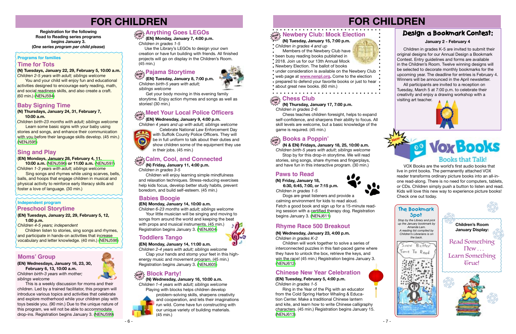



# **FOR CHILDREN**

# **FOR CHILDREN**

- **(N) Tuesday, January 15, 7:00 p.m.**
- *Children in grades 4 and up*
	- **Members of the Newbery Club have**
	- been busy reading books published in
	- 2018. Join us for our 13th Annual Mock
	- Newbery Election. The ballot of books
	- under consideration is available on the Newbery Club
- web page at **www.nenpl.org.** Come to the election  $\bullet$  prepared to defend your favorite books or just to hear  $\bullet$
- about great new books. (60 min.)
- 

#### **drop in Newbery Club: Mock Election**

Use the Library's LEGOs to design your own creation or have fun building with friends. All finished projects will go on display in the Children's Room. (45 min.)

 **(EN) Monday, January 7, 4:00 p.m.**  *Children in grades 1-5*



#### **Anything Goes LEGOs drop in**

**(N) Tuesdays, January 22, 29, February 5, 10:00 a.m.**  *Children 2-5 years with adult; siblings welcome*

 You and your child will enjoy fun and educational activities designed to encourage early reading, math, and social readiness skills, and also create a craft. (60 min.) ([NENJ594\)](https://search.livebrary.com/record%3Dg1086982~S85)

## **Sing and Play**

### **(EN) Mondays, January 28, February 4, 11,**

**10:00 a.m.** [\(NENJ596\)](https://search.livebrary.com/record%3Dg1086954~S85) **or 11:00 a.m.** [\(NENJ597\)](https://search.livebrary.com/record%3Dg1086955~S85) *Children 1-3 years with adult; siblings welcome*

 Sing songs and rhymes while using scarves, bells, balls, and hoops that engage children in musical and physical activity to reinforce early literacy skills and foster a love of language. (30 min.)

#### **Programs for families**

**Registration for the following Road to Reading series programs begins January 3. (***One series program per child please***)** 

#### **Time for Tots**

## **Independent program**

#### **(EN) Tuesdays, January 22, 29, February 5, 12, 1:00 p.m.**

*Children 4-5 years; independent*

Children listen to stories, sing songs and rhymes, and participate in hands-on activities that increase vocabulary and letter knowledge. (40 min.) [\(NENJ598\)](https://search.livebrary.com/record%3Dg1086950~S85)

**Preschool Storytime**

**(EN) Wednesdays, January 16, 23, 30, February 6, 13, 10:00 a.m.** *Children birth-3 years with mother;*

*siblings welcome*

This is a weekly discussion for moms and their children. Led by a trained facilitator, this program will introduce various topics and activities that celebrate and explore motherhood while your children play with toys beside you. (90 min.) Due to the unique nature of this program, we will not be able to accommodate drop-ins. Registration begins January 3. [\(NENJ599\)](https://search.livebrary.com/record%3Dg1086953~S85)

## **Moms' Group**

 **(EN) Tuesday, January 8, 7:00 p.m.** *Children birth-5 years with adult; siblings welcome*

 Get your body moving in this evening family storytime. Enjoy action rhymes and songs as well as stories! (30 min.)

## **Babies Boogie**

**(EN) Monday, January 14, 10:00 a.m.**

*Children 6-23 months with adult; siblings welcome* Your little musician will be singing and moving to songs from around the world and keeping the beat with props and musical instruments. (45 min.)

Dogs are great listeners and provide a calming environment for kids to read aloud. Fetch a good book and sign up for a 15-minute reading session with a certified therapy dog. Registration begins January 3. [\(NENJ611\)](https://search.livebrary.com/record%3Dg1086986~S85)

Registration begins January 3. [\(NENJ604\)](https://search.livebrary.com/record%3Dg1086957~S85)

 **(N & EN) Fridays, January 18, 25, 10:00 a.m.** *Children birth-5 years with adult*; *siblings welcome* 

 Stop by for this drop-in storytime. We will read stories, sing songs, share rhymes and fingerplays, and have fun in this interactive program. (30 min.)

#### **Pajama Storytime drop in**

## **drop in Books a Poppin'**

## **Baby Signing Time**

#### **(N) Thursdays, January 24, 31, February 7, 10:00 a.m.**

*Children birth-23 months with adult; siblings welcome*

 Learn some basic signs with your baby using stories and songs, and enhance their communication with you before their language skills develop. (45 min.) ([NENJ595](https://search.livebrary.com/record%3Dg1086981~S85))

 **(N) Wednesday, January 16, 10:00 a.m.**

*Children 1-4 years with adult; siblings welcome* Playing with blocks helps children develop



problem-solving skills, sharpens creativity and cooperation, and lets their imaginations run wild. Come have fun constructing with our unique variety of building materials. (45 min.)



#### **drop in Block Party!**

#### **(EN) Wednesday, January 9, 4:00 p.m.**

*Children 4 years and up with adult; siblings welcome*



#### **Meet Your Local Police Officers drop in**

 Celebrate National Law Enforcement Day with Suffolk County Police Officers. They will be in full uniform to talk about their duties and show children some of the equipment they use in their jobs. (45 min.)

#### **drop in Calm, Cool, and Connected**

### **(N) Friday, January 11, 4:00 p.m.**

*Children in grades 3-5*

 Children will enjoy learning simple mindfulness and relaxation techniques. Stress-reducing exercises help kids focus, develop better study habits, prevent boredom, and build self-esteem. (45 min.)

## **Toddlers Tango**

**(EN) Monday, January 14, 11:00 a.m.**

*Children 2-4 years with adult; siblings welcome*

 Clap your hands and stomp your feet in this highenergy music and movement program. (45 min.) Registration begins January 3. [\(NENJ605\)](https://search.livebrary.com/record%3Dg1086958~S85)

#### **Chess Club drop**

 **(N) Thursday, January 17, 7:00 p.m.** *Children in grades 2-6* **in**

 Chess teaches children foresight, helps to expand self-confidence, and sharpens their ability to focus. All skill levels are welcome, but a basic knowledge of the game is required. (45 min.)

## **Design a Bookmark Contest:**

 Children in grades K-5 are invited to submit their original designs for our Annual Design a Bookmark Contest. Entry guidelines and forms are available in the Children's Room. Twelve winning designs will be selected to decorate monthly bookmarks for the upcoming year. The deadline for entries is February 4. Winners will be announced in the April newsletter.

 All participants are invited to a reception on Tuesday, March 5 at 7:00 p.m. to celebrate their creativity and enjoy a drawing workshop with a visiting art teacher.



## **Books that Talk!**

**Vox Books** 

#### **January 2 - February 4**

## **Paws to Read**

 **(N) Friday, January 18, 6:30, 6:45, 7:00, or 7:15 p.m.** *Children in grades 1-5*



## **Rhyme Race 500 Breakout**

#### **(N) Wednesday, January 23, 4:00 p.m.** *Children in grades K-2*

 Children will work together to solve a series of interconnected puzzles in this fast-paced game where they have to unlock the box, retrieve the keys, and win the race! (45 min.) Registration begins January 3. [\(NENJ612\)](https://search.livebrary.com/record%3Dg1086987~S85)

## **Chinese New Year Celebration**

**(EN) Tuesday, February 5, 4:00 p.m.** *Children in grades 1-5*

 Ring in the Year of the Pig with an educator from the Cold Spring Harbor Whaling & Education Center. Make a traditional Chinese lantern and kite, and learn how to write Chinese calligraphy characters. (45 min.) Registration begins January 15. [\(NENJ613\)](https://search.livebrary.com/record%3Dg1086959~S85)

 VOX Books are the world's first audio books that live in print books. The permanently attached VOX reader transforms ordinary picture books into an all-inone read-along. There is no need for computers, tablets, or CDs. Children simply push a button to listen and read. Kids will love this new way to experience picture books! Check one out today.